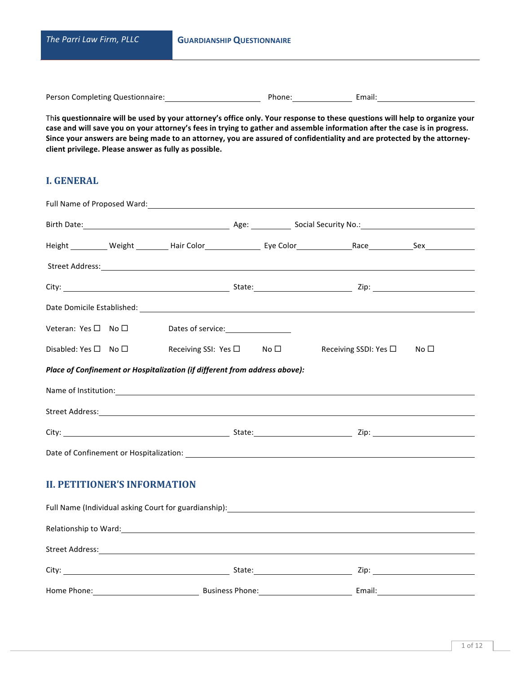| The Parri Law Firm, PLLC         | <b>GUARDIANSHIP QUESTIONNAIRE</b> |        |  |  |  |
|----------------------------------|-----------------------------------|--------|--|--|--|
|                                  |                                   |        |  |  |  |
| Person Completing Questionnaire: | Phone:                            | Email: |  |  |  |

This questionnaire will be used by your attorney's office only. Your response to these questions will help to organize your case and will save you on your attorney's fees in trying to gather and assemble information after the case is in progress. Since your answers are being made to an attorney, you are assured of confidentiality and are protected by the attorneyclient privilege. Please answer as fully as possible.

# **I. GENERAL**

|                                     | Full Name of Proposed Ward: Name of Proposed Ward:                             |  |                                                                                                                                                                                                                                |  |
|-------------------------------------|--------------------------------------------------------------------------------|--|--------------------------------------------------------------------------------------------------------------------------------------------------------------------------------------------------------------------------------|--|
|                                     |                                                                                |  | Birth Date: 1990 March 2014 March 2014 March 2014 March 2014 March 2014 March 2014 March 2014 March 2014 March 2014 March 2014 March 2014 March 2014 March 2014 March 2014 March 2014 March 2014 March 2014 March 2014 March 2 |  |
|                                     |                                                                                |  | Height __________ Weight _________ Hair Color _______________ Eye Color ______________Race ____________Sex _________                                                                                                           |  |
|                                     |                                                                                |  |                                                                                                                                                                                                                                |  |
|                                     |                                                                                |  |                                                                                                                                                                                                                                |  |
|                                     |                                                                                |  |                                                                                                                                                                                                                                |  |
|                                     |                                                                                |  |                                                                                                                                                                                                                                |  |
|                                     | Disabled: Yes $\square$ No $\square$ Receiving SSI: Yes $\square$ No $\square$ |  | Receiving SSDI: Yes $\square$ No $\square$                                                                                                                                                                                     |  |
|                                     | Place of Confinement or Hospitalization (if different from address above):     |  |                                                                                                                                                                                                                                |  |
|                                     |                                                                                |  | Name of Institution: Name of Institution:                                                                                                                                                                                      |  |
|                                     |                                                                                |  | Street Address: <u>Alexander Address:</u> Alexander Address: Alexander Address: Alexander Address: Alexander Address: A                                                                                                        |  |
|                                     |                                                                                |  |                                                                                                                                                                                                                                |  |
|                                     |                                                                                |  |                                                                                                                                                                                                                                |  |
| <b>II. PETITIONER'S INFORMATION</b> |                                                                                |  |                                                                                                                                                                                                                                |  |
|                                     |                                                                                |  |                                                                                                                                                                                                                                |  |
|                                     |                                                                                |  | Relationship to Ward: 1999 Contract to March 2008 Contract to the Contract of the Contract of the Contract of the Contract of the Contract of the Contract of the Contract of the Contract of the Contract of the Contract of  |  |
|                                     |                                                                                |  | Street Address: <u>Alexander Address:</u> Alexander Address: Alexander Address: Alexander Address: Alexander Address: A                                                                                                        |  |
|                                     |                                                                                |  |                                                                                                                                                                                                                                |  |
|                                     |                                                                                |  |                                                                                                                                                                                                                                |  |

Home Phone: Business Phone: Email: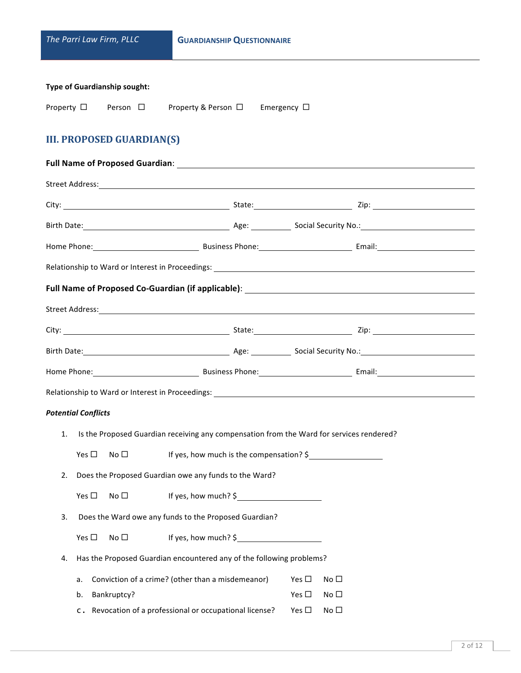| The Parri Law Firm, PLLC                                                                   | <b>GUARDIANSHIP QUESTIONNAIRE</b>                                                        |                                |                                                                                                                                                                                                                                |  |
|--------------------------------------------------------------------------------------------|------------------------------------------------------------------------------------------|--------------------------------|--------------------------------------------------------------------------------------------------------------------------------------------------------------------------------------------------------------------------------|--|
| <b>Type of Guardianship sought:</b><br>Property □ Person □ Property & Person □ Emergency □ |                                                                                          |                                |                                                                                                                                                                                                                                |  |
| <b>III. PROPOSED GUARDIAN(S)</b>                                                           |                                                                                          |                                |                                                                                                                                                                                                                                |  |
|                                                                                            |                                                                                          |                                |                                                                                                                                                                                                                                |  |
|                                                                                            |                                                                                          |                                |                                                                                                                                                                                                                                |  |
|                                                                                            |                                                                                          |                                |                                                                                                                                                                                                                                |  |
|                                                                                            |                                                                                          |                                | Birth Date: 1990 March 2010 March 2010 March 2010 March 2010 March 2010 March 2010 March 2010 March 2010 March 2010 March 2010 March 2010 March 2010 March 2010 March 2010 March 2010 March 2010 March 2010 March 2010 March 2 |  |
|                                                                                            |                                                                                          |                                | Home Phone: 1990 Contract Communication Communication Communication Communication Communication Communication C                                                                                                                |  |
|                                                                                            |                                                                                          |                                |                                                                                                                                                                                                                                |  |
|                                                                                            |                                                                                          |                                |                                                                                                                                                                                                                                |  |
|                                                                                            |                                                                                          |                                |                                                                                                                                                                                                                                |  |
|                                                                                            |                                                                                          |                                |                                                                                                                                                                                                                                |  |
|                                                                                            |                                                                                          |                                |                                                                                                                                                                                                                                |  |
|                                                                                            |                                                                                          |                                | Home Phone: 1990 Contract Communication Communication Communication Communication Communication Communication C                                                                                                                |  |
|                                                                                            |                                                                                          |                                |                                                                                                                                                                                                                                |  |
| <b>Potential Conflicts</b>                                                                 |                                                                                          |                                |                                                                                                                                                                                                                                |  |
| 1.                                                                                         | Is the Proposed Guardian receiving any compensation from the Ward for services rendered? |                                |                                                                                                                                                                                                                                |  |
| Yes $\square$<br>No $\square$                                                              | If yes, how much is the compensation? \$                                                 |                                |                                                                                                                                                                                                                                |  |
| 2.                                                                                         | Does the Proposed Guardian owe any funds to the Ward?                                    |                                |                                                                                                                                                                                                                                |  |
| Yes $\square$<br>No <sub>1</sub>                                                           | If yes, how much? $\frac{1}{2}$                                                          |                                |                                                                                                                                                                                                                                |  |
| Does the Ward owe any funds to the Proposed Guardian?<br>3.                                |                                                                                          |                                |                                                                                                                                                                                                                                |  |
| Yes $\square$<br>No <sub>1</sub>                                                           | If yes, how much? $\frac{1}{2}$                                                          |                                |                                                                                                                                                                                                                                |  |
| 4.                                                                                         | Has the Proposed Guardian encountered any of the following problems?                     |                                |                                                                                                                                                                                                                                |  |
| a.<br>Bankruptcy?<br>b.                                                                    | Conviction of a crime? (other than a misdemeanor)                                        | Yes $\square$<br>Yes $\square$ | No <sub>1</sub><br>No $\square$                                                                                                                                                                                                |  |
|                                                                                            | c. Revocation of a professional or occupational license?                                 | Yes $\square$                  | No $\square$                                                                                                                                                                                                                   |  |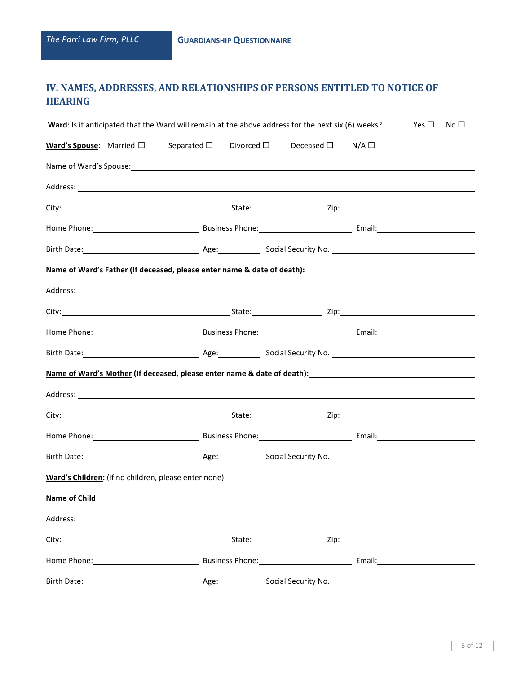# **IV. NAMES, ADDRESSES, AND RELATIONSHIPS OF PERSONS ENTITLED TO NOTICE OF HEARING**

| Ward: Is it anticipated that the Ward will remain at the above address for the next six (6) weeks?<br>Yes $\square$<br>No <sub>1</sub> |  |                                                                                |                  |                                                                                                                                                                                                                                      |  |  |  |
|----------------------------------------------------------------------------------------------------------------------------------------|--|--------------------------------------------------------------------------------|------------------|--------------------------------------------------------------------------------------------------------------------------------------------------------------------------------------------------------------------------------------|--|--|--|
|                                                                                                                                        |  | <b>Ward's Spouse:</b> Married $\square$ Separated $\square$ Divorced $\square$ |                  | Deceased $\square$ N/A $\square$                                                                                                                                                                                                     |  |  |  |
|                                                                                                                                        |  |                                                                                |                  |                                                                                                                                                                                                                                      |  |  |  |
|                                                                                                                                        |  |                                                                                |                  |                                                                                                                                                                                                                                      |  |  |  |
|                                                                                                                                        |  |                                                                                |                  |                                                                                                                                                                                                                                      |  |  |  |
|                                                                                                                                        |  |                                                                                |                  | Home Phone: 1990 Contract Communication Communication Communication Communication Communication Communication C                                                                                                                      |  |  |  |
|                                                                                                                                        |  |                                                                                |                  | Birth Date: <u>New York: Age: Age: Social Security No.: New York: New York: New York: New York: New York: New York: New York: New York: New York: New York: New York: New York: New York: New York: New York: New York: New York</u> |  |  |  |
|                                                                                                                                        |  |                                                                                |                  | Name of Ward's Father (If deceased, please enter name & date of death): Name of Ward's Father Manuscript (If deceased, please enter name & date of death):                                                                           |  |  |  |
|                                                                                                                                        |  |                                                                                |                  |                                                                                                                                                                                                                                      |  |  |  |
|                                                                                                                                        |  |                                                                                |                  |                                                                                                                                                                                                                                      |  |  |  |
|                                                                                                                                        |  |                                                                                |                  |                                                                                                                                                                                                                                      |  |  |  |
|                                                                                                                                        |  |                                                                                |                  |                                                                                                                                                                                                                                      |  |  |  |
|                                                                                                                                        |  |                                                                                |                  | Name of Ward's Mother (If deceased, please enter name & date of death): Name of Ward's Mother Community of the                                                                                                                       |  |  |  |
|                                                                                                                                        |  |                                                                                |                  |                                                                                                                                                                                                                                      |  |  |  |
|                                                                                                                                        |  |                                                                                |                  |                                                                                                                                                                                                                                      |  |  |  |
|                                                                                                                                        |  |                                                                                |                  | Home Phone: 2008 Communication Communication Communication Communication Communication Communication Communication Communication Communication Communication Communication Communication Communication Communication Communica       |  |  |  |
|                                                                                                                                        |  |                                                                                |                  | Birth Date: <u>New York: Age:</u> Age: Social Security No.: New York: New York: New York: New York: New York: New York: New York: New York: New York: New York: New York: New York: New York: New York: New York: New York: New Yor  |  |  |  |
|                                                                                                                                        |  | Ward's Children: (if no children, please enter none)                           |                  |                                                                                                                                                                                                                                      |  |  |  |
| Name of Child: Name of Child:                                                                                                          |  |                                                                                |                  |                                                                                                                                                                                                                                      |  |  |  |
|                                                                                                                                        |  |                                                                                |                  | Address: Andreas Address: Address: Address: Address: Address: Address: Address: Address: Address: Address: Address: Address: Address: Address: Address: Address: Address: Address: Address: Address: Address: Address: Address       |  |  |  |
|                                                                                                                                        |  |                                                                                |                  |                                                                                                                                                                                                                                      |  |  |  |
|                                                                                                                                        |  |                                                                                |                  |                                                                                                                                                                                                                                      |  |  |  |
|                                                                                                                                        |  |                                                                                | Age:____________ |                                                                                                                                                                                                                                      |  |  |  |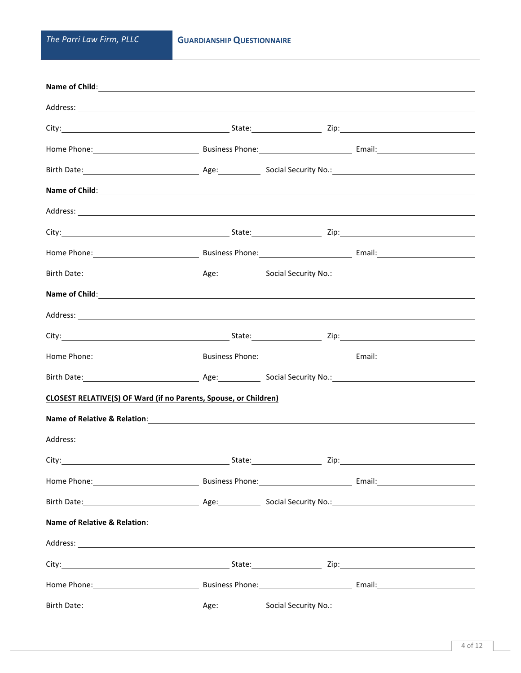| Name of Child: <u>contract the contract of the contract of the contract of the contract of the contract of the contract of the contract of the contract of the contract of the contract of the contract of the contract of the c</u> |  |  |
|--------------------------------------------------------------------------------------------------------------------------------------------------------------------------------------------------------------------------------------|--|--|
|                                                                                                                                                                                                                                      |  |  |
|                                                                                                                                                                                                                                      |  |  |
| Home Phone: <u>Communication of Business Phone:</u> Communication Communication Communication Communication Communication Communication Communication Communication Communication Communication Communication Communication Communi  |  |  |
|                                                                                                                                                                                                                                      |  |  |
|                                                                                                                                                                                                                                      |  |  |
|                                                                                                                                                                                                                                      |  |  |
|                                                                                                                                                                                                                                      |  |  |
| Home Phone: 1990 Contract Communication Communication Communication Communication Communication Communication C                                                                                                                      |  |  |
|                                                                                                                                                                                                                                      |  |  |
| Name of Child: <u>contract and a series of child:</u> contract a series of child:                                                                                                                                                    |  |  |
|                                                                                                                                                                                                                                      |  |  |
|                                                                                                                                                                                                                                      |  |  |
|                                                                                                                                                                                                                                      |  |  |
|                                                                                                                                                                                                                                      |  |  |
| <b>CLOSEST RELATIVE(S) OF Ward (if no Parents, Spouse, or Children)</b>                                                                                                                                                              |  |  |
|                                                                                                                                                                                                                                      |  |  |
|                                                                                                                                                                                                                                      |  |  |
|                                                                                                                                                                                                                                      |  |  |
|                                                                                                                                                                                                                                      |  |  |
|                                                                                                                                                                                                                                      |  |  |
|                                                                                                                                                                                                                                      |  |  |
|                                                                                                                                                                                                                                      |  |  |
|                                                                                                                                                                                                                                      |  |  |
|                                                                                                                                                                                                                                      |  |  |
|                                                                                                                                                                                                                                      |  |  |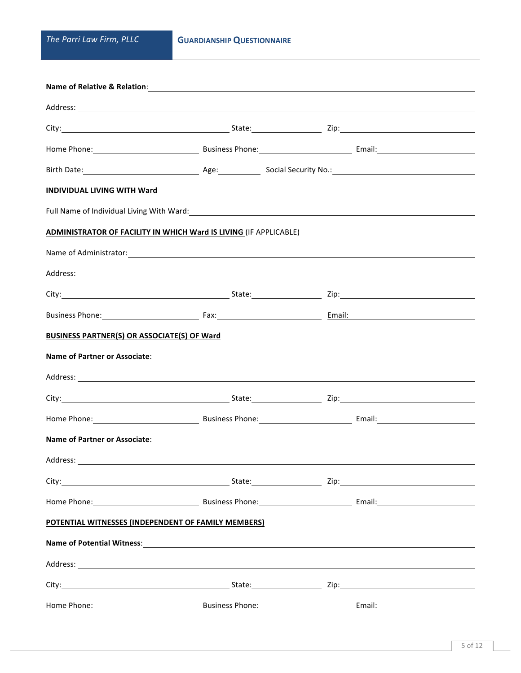| Name of Relative & Relation: Name of Relation and Allen and Allen and Allen and Allen and Allen and Allen and A                                                                                                                     |                      |  |  |        |  |  |
|-------------------------------------------------------------------------------------------------------------------------------------------------------------------------------------------------------------------------------------|----------------------|--|--|--------|--|--|
|                                                                                                                                                                                                                                     |                      |  |  |        |  |  |
|                                                                                                                                                                                                                                     |                      |  |  |        |  |  |
| Home Phone: 1990 Contract Communication Communication Communication Communication Communication Communication C                                                                                                                     |                      |  |  |        |  |  |
|                                                                                                                                                                                                                                     |                      |  |  |        |  |  |
| <b>INDIVIDUAL LIVING WITH Ward</b>                                                                                                                                                                                                  |                      |  |  |        |  |  |
| Full Name of Individual Living With Ward: 1997 - 1998 - 1999 - 1999 - 1999 - 1999 - 1999 - 1999 - 1999 - 1999                                                                                                                       |                      |  |  |        |  |  |
| <b>ADMINISTRATOR OF FACILITY IN WHICH Ward IS LIVING (IF APPLICABLE)</b>                                                                                                                                                            |                      |  |  |        |  |  |
|                                                                                                                                                                                                                                     |                      |  |  |        |  |  |
|                                                                                                                                                                                                                                     |                      |  |  |        |  |  |
|                                                                                                                                                                                                                                     |                      |  |  |        |  |  |
| Business Phone: <u>Contract Communication</u> Fax: Contract Communication Communication Communication Communication Communication Communication Communication Communication Communication Communication Communication Communication |                      |  |  |        |  |  |
| BUSINESS PARTNER(S) OR ASSOCIATE(S) OF Ward                                                                                                                                                                                         |                      |  |  |        |  |  |
| Name of Partner or Associate: example and a series of the series of the series of the series of the series of the series of the series of the series of the series of the series of the series of the series of the series of       |                      |  |  |        |  |  |
| Address: <u>Address:</u> Address: Address: Address: Address: Address: Address: Address: Address: Address: Address: Address: Address: Address: Address: Address: Address: Address: Address: Address: Address: Address: Address: Addr |                      |  |  |        |  |  |
|                                                                                                                                                                                                                                     |                      |  |  |        |  |  |
| Home Phone: 1990 Contract Communication Communication Communication Communication Communication Communication C                                                                                                                     |                      |  |  |        |  |  |
|                                                                                                                                                                                                                                     |                      |  |  |        |  |  |
|                                                                                                                                                                                                                                     |                      |  |  |        |  |  |
| City: City: City: City: City: City: City: City: City: City: City: City: City: City: City: City: City: City: City: City: City: City: City: City: City: City: City: City: City: City: City: City: City: City: City: City: City:       |                      |  |  |        |  |  |
| Home Phone: 1990 Contract Communication Communication Communication Communication Communication Communication C                                                                                                                     |                      |  |  |        |  |  |
| POTENTIAL WITNESSES (INDEPENDENT OF FAMILY MEMBERS)                                                                                                                                                                                 |                      |  |  |        |  |  |
|                                                                                                                                                                                                                                     |                      |  |  |        |  |  |
|                                                                                                                                                                                                                                     |                      |  |  |        |  |  |
|                                                                                                                                                                                                                                     |                      |  |  |        |  |  |
| Home Phone:                                                                                                                                                                                                                         | Business Phone: 2008 |  |  | Email: |  |  |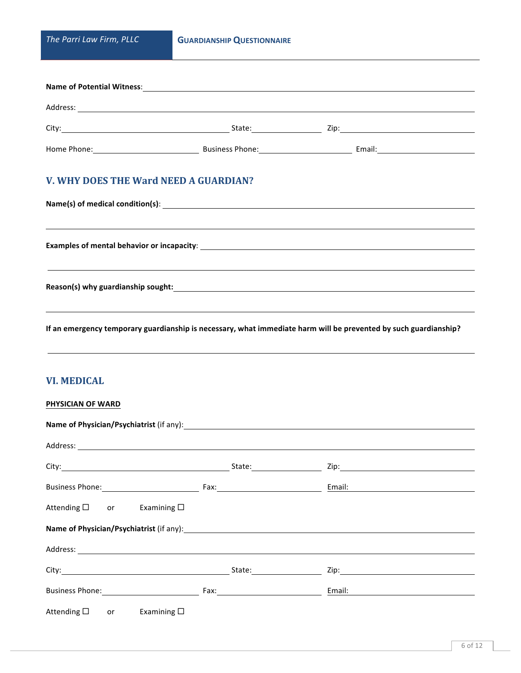| <b>Name of Potential Witness:</b> |                        |      |        |  |  |  |  |
|-----------------------------------|------------------------|------|--------|--|--|--|--|
| Address:                          |                        |      |        |  |  |  |  |
| City:                             | State:                 | Zip: |        |  |  |  |  |
| Home Phone:                       | <b>Business Phone:</b> |      | Email: |  |  |  |  |

# **V. WHY DOES THE Ward NEED A GUARDIAN?**

If an emergency temporary guardianship is necessary, what immediate harm will be prevented by such guardianship?

# **VI. MEDICAL**

#### **PHYSICIAN OF WARD**

| Name of Physician/Psychiatrist (if any): Manual Community of Physician/Psychiatrist (if any):                                                                                                                                       |                                                                                                                |  |
|-------------------------------------------------------------------------------------------------------------------------------------------------------------------------------------------------------------------------------------|----------------------------------------------------------------------------------------------------------------|--|
| Address: <u>Address:</u> Address: Address: Address: Address: Address: Address: Address: Address: Address: Address: Address: Address: Address: Address: Address: Address: Address: Address: Address: Address: Address: Address: Addr |                                                                                                                |  |
|                                                                                                                                                                                                                                     |                                                                                                                |  |
|                                                                                                                                                                                                                                     |                                                                                                                |  |
| Attending $\square$ or Examining $\square$                                                                                                                                                                                          |                                                                                                                |  |
| Name of Physician/Psychiatrist (if any): Name of Physician Assembly of the Assembly of Physician Assembly of the Assembly of the Assembly of the Assembly of the Assembly of the Assembly of the Assembly of the Assembly of t      |                                                                                                                |  |
|                                                                                                                                                                                                                                     |                                                                                                                |  |
|                                                                                                                                                                                                                                     |                                                                                                                |  |
| <b>Business Phone:</b> Now a set of the set of the set of the set of the set of the set of the set of the set of the set of the set of the set of the set of the set of the set of the set of the set of the set of the set of the  | Fax: Fax: Particular Particular Particular Particular Particular Particular Particular Particular Particular P |  |
| Attending $\square$ or Examining $\square$                                                                                                                                                                                          |                                                                                                                |  |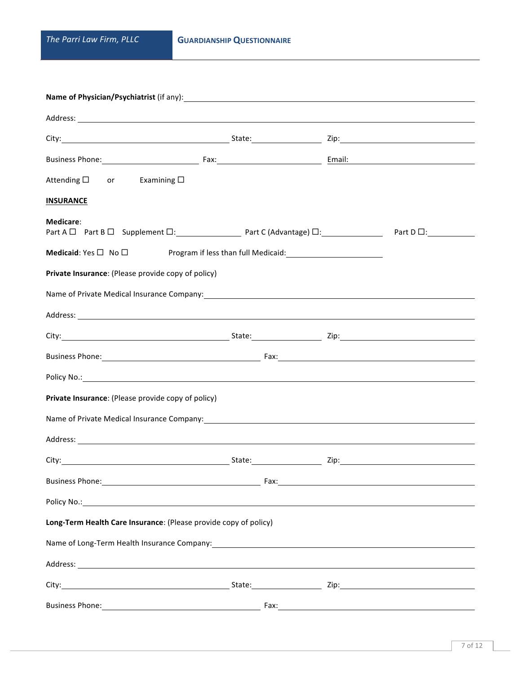| Business Phone: <u>Committee Committee Committee Committee Committee Committee Committee Committee Committee Committee Committee Committee Committee Committee Committee Committee Committee Committee Committee Committee Commi</u> |  |  |  |  |  |  |
|--------------------------------------------------------------------------------------------------------------------------------------------------------------------------------------------------------------------------------------|--|--|--|--|--|--|
| Attending $\square$ or Examining $\square$                                                                                                                                                                                           |  |  |  |  |  |  |
| <b>INSURANCE</b>                                                                                                                                                                                                                     |  |  |  |  |  |  |
| Medicare:<br>$Part A \Box$ Part B $\Box$ Supplement $\Box$ : Part C (Advantage) $\Box$ : Part D $\Box$ : Part D $\Box$ :                                                                                                             |  |  |  |  |  |  |
| <b>Medicaid</b> : Yes $\Box$ No $\Box$ Program if less than full Medicaid: <u>Community Community of Australian Benedict</u>                                                                                                         |  |  |  |  |  |  |
| Private Insurance: (Please provide copy of policy)                                                                                                                                                                                   |  |  |  |  |  |  |
|                                                                                                                                                                                                                                      |  |  |  |  |  |  |
|                                                                                                                                                                                                                                      |  |  |  |  |  |  |
|                                                                                                                                                                                                                                      |  |  |  |  |  |  |
| Business Phone: 1990 and 2008 and 2009 and 2008 and 2009 and 2008 and 2009 and 2009 and 2009 and 2009 and 2009 and 2009 and 2009 and 2009 and 2009 and 2009 and 2009 and 2009 and 2009 and 2009 and 2009 and 2009 and 2009 and       |  |  |  |  |  |  |
| Policy No.: <u>Andreas Andreas Andreas Andreas Andreas Andreas Andreas Andreas Andreas Andreas Andreas Andreas Andreas Andreas Andreas Andreas Andreas Andreas Andreas Andreas Andreas Andreas Andreas Andreas Andreas Andreas A</u> |  |  |  |  |  |  |
| Private Insurance: (Please provide copy of policy)                                                                                                                                                                                   |  |  |  |  |  |  |
|                                                                                                                                                                                                                                      |  |  |  |  |  |  |
|                                                                                                                                                                                                                                      |  |  |  |  |  |  |
|                                                                                                                                                                                                                                      |  |  |  |  |  |  |
| Business Phone: Note: 2008 and 2008 and 2008 and 2008 and 2008 and 2008 and 2008 and 2008 and 2008 and 2008 and 2008 and 2008 and 2008 and 2008 and 2008 and 2008 and 2008 and 2008 and 2008 and 2008 and 2008 and 2008 and 20       |  |  |  |  |  |  |
|                                                                                                                                                                                                                                      |  |  |  |  |  |  |
| Long-Term Health Care Insurance: (Please provide copy of policy)                                                                                                                                                                     |  |  |  |  |  |  |
| Name of Long-Term Health Insurance Company: Manual Community Community Community Community Community Community                                                                                                                       |  |  |  |  |  |  |
|                                                                                                                                                                                                                                      |  |  |  |  |  |  |
|                                                                                                                                                                                                                                      |  |  |  |  |  |  |
|                                                                                                                                                                                                                                      |  |  |  |  |  |  |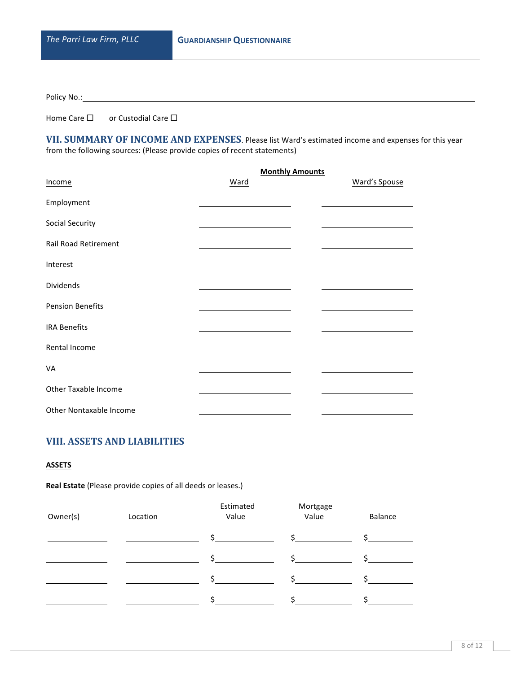Policy No.: Management Contains

Home Care  $\square$  or Custodial Care  $\square$ 

VII. SUMMARY OF INCOME AND EXPENSES. Please list Ward's estimated income and expenses for this year from the following sources: (Please provide copies of recent statements)

|                             | <b>Monthly Amounts</b> |               |
|-----------------------------|------------------------|---------------|
| Income                      | Ward                   | Ward's Spouse |
| Employment                  |                        |               |
| <b>Social Security</b>      |                        |               |
| <b>Rail Road Retirement</b> |                        |               |
| Interest                    |                        |               |
| Dividends                   |                        |               |
| <b>Pension Benefits</b>     |                        |               |
| <b>IRA Benefits</b>         |                        |               |
| Rental Income               |                        |               |
| VA                          |                        |               |
| Other Taxable Income        |                        |               |
| Other Nontaxable Income     |                        |               |

# **VIII. ASSETS AND LIABILITIES**

### **ASSETS**

**Real Estate** (Please provide copies of all deeds or leases.)

| Owner(s) | Location | Estimated<br>Value | Mortgage<br>Value | Balance |
|----------|----------|--------------------|-------------------|---------|
|          |          |                    |                   |         |
|          |          |                    |                   |         |
|          |          |                    |                   |         |
|          |          |                    |                   |         |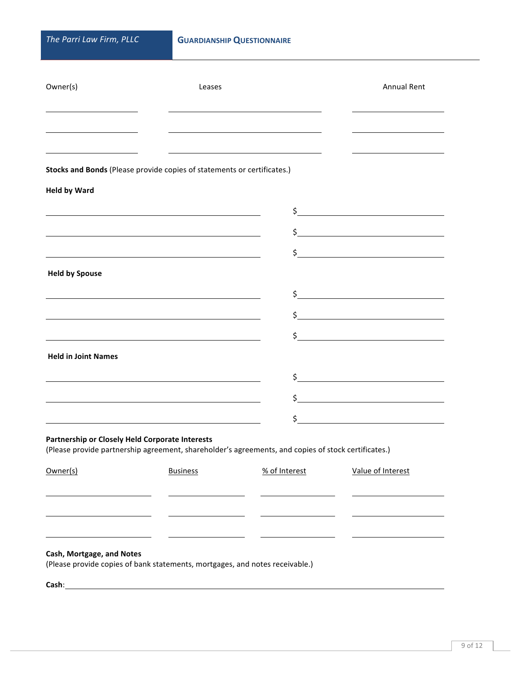| Owner(s)                   | Leases                                                                  |                                                                                                     | <b>Annual Rent</b>                                                                                                   |
|----------------------------|-------------------------------------------------------------------------|-----------------------------------------------------------------------------------------------------|----------------------------------------------------------------------------------------------------------------------|
|                            |                                                                         |                                                                                                     |                                                                                                                      |
|                            | Stocks and Bonds (Please provide copies of statements or certificates.) |                                                                                                     |                                                                                                                      |
| <b>Held by Ward</b>        |                                                                         |                                                                                                     |                                                                                                                      |
|                            |                                                                         | \$                                                                                                  | <u> 1980 - Johann Barbara, martxa amerikan personal (</u>                                                            |
|                            |                                                                         |                                                                                                     | $\sharp$                                                                                                             |
|                            |                                                                         | \$                                                                                                  | <u> 1980 - Jan Stein Stein Stein Stein Stein Stein Stein Stein Stein Stein Stein Stein Stein Stein Stein Stein S</u> |
| <b>Held by Spouse</b>      |                                                                         |                                                                                                     |                                                                                                                      |
|                            |                                                                         |                                                                                                     |                                                                                                                      |
|                            |                                                                         |                                                                                                     |                                                                                                                      |
|                            |                                                                         | \$                                                                                                  | the contract of the contract of the contract of the contract of the contract of                                      |
| <b>Held in Joint Names</b> |                                                                         |                                                                                                     |                                                                                                                      |
|                            |                                                                         |                                                                                                     |                                                                                                                      |
|                            |                                                                         |                                                                                                     |                                                                                                                      |
|                            |                                                                         | \$                                                                                                  |                                                                                                                      |
|                            | Partnership or Closely Held Corporate Interests                         | (Please provide partnership agreement, shareholder's agreements, and copies of stock certificates.) |                                                                                                                      |
| Owner(s)                   | <b>Business</b>                                                         | % of Interest                                                                                       | Value of Interest                                                                                                    |
|                            |                                                                         |                                                                                                     |                                                                                                                      |
|                            |                                                                         |                                                                                                     |                                                                                                                      |
|                            |                                                                         |                                                                                                     |                                                                                                                      |

### **Cash, Mortgage, and Notes**

(Please provide copies of bank statements, mortgages, and notes receivable.)

**Cash**: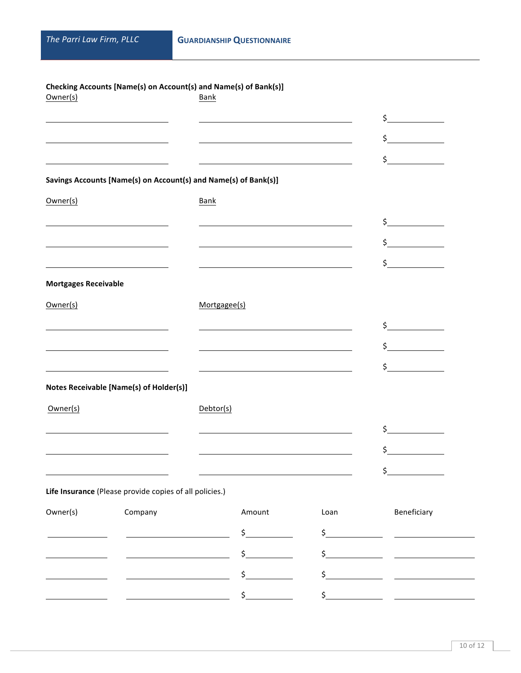| Owner(s)                    | Checking Accounts [Name(s) on Account(s) and Name(s) of Bank(s)]                                                       | Bank      |                                                           |               |                                                                                                                                                                                                                                                                                                                     |
|-----------------------------|------------------------------------------------------------------------------------------------------------------------|-----------|-----------------------------------------------------------|---------------|---------------------------------------------------------------------------------------------------------------------------------------------------------------------------------------------------------------------------------------------------------------------------------------------------------------------|
|                             |                                                                                                                        |           |                                                           |               | $\zeta$                                                                                                                                                                                                                                                                                                             |
|                             | <u> 1989 - Johann Stoff, deutscher Stoffen und der Stoffen und der Stoffen und der Stoffen und der Stoffen und der</u> |           |                                                           |               | $\frac{1}{5}$                                                                                                                                                                                                                                                                                                       |
|                             | <u> 1980 - Jan Stein Stein Stein Stein Stein Stein Stein Stein Stein Stein Stein Stein Stein Stein Stein Stein S</u>   |           | <u> 1989 - Andrea Stadt Britain, amerikansk politik (</u> |               | \$                                                                                                                                                                                                                                                                                                                  |
|                             | Savings Accounts [Name(s) on Account(s) and Name(s) of Bank(s)]                                                        |           |                                                           |               |                                                                                                                                                                                                                                                                                                                     |
| Owner(s)                    |                                                                                                                        | Bank      |                                                           |               |                                                                                                                                                                                                                                                                                                                     |
|                             |                                                                                                                        |           |                                                           |               | $\zeta$                                                                                                                                                                                                                                                                                                             |
|                             |                                                                                                                        |           |                                                           |               | $\zeta$                                                                                                                                                                                                                                                                                                             |
|                             |                                                                                                                        |           |                                                           |               | $\zeta$                                                                                                                                                                                                                                                                                                             |
| <b>Mortgages Receivable</b> |                                                                                                                        |           |                                                           |               |                                                                                                                                                                                                                                                                                                                     |
| Owner(s)                    |                                                                                                                        |           | Mortgagee(s)                                              |               |                                                                                                                                                                                                                                                                                                                     |
|                             | <u> 1980 - Jan Stein Berlin, amerikansk politiker (</u>                                                                |           |                                                           |               | $\zeta$                                                                                                                                                                                                                                                                                                             |
|                             |                                                                                                                        |           |                                                           |               | $\zeta$                                                                                                                                                                                                                                                                                                             |
|                             |                                                                                                                        |           |                                                           |               | $\sharp$                                                                                                                                                                                                                                                                                                            |
|                             | Notes Receivable [Name(s) of Holder(s)]                                                                                |           |                                                           |               |                                                                                                                                                                                                                                                                                                                     |
| Owner(s)                    |                                                                                                                        | Debtor(s) |                                                           |               |                                                                                                                                                                                                                                                                                                                     |
|                             |                                                                                                                        |           |                                                           |               | $\sharp$                                                                                                                                                                                                                                                                                                            |
|                             |                                                                                                                        |           |                                                           |               | \$                                                                                                                                                                                                                                                                                                                  |
|                             |                                                                                                                        |           |                                                           |               | \$                                                                                                                                                                                                                                                                                                                  |
|                             | Life Insurance (Please provide copies of all policies.)                                                                |           |                                                           |               |                                                                                                                                                                                                                                                                                                                     |
| Owner(s)                    | Company                                                                                                                |           | Amount                                                    | Loan          | Beneficiary                                                                                                                                                                                                                                                                                                         |
|                             |                                                                                                                        |           | $\sharp$                                                  |               | $\frac{1}{2}$ $\frac{1}{2}$ $\frac{1}{2}$ $\frac{1}{2}$ $\frac{1}{2}$ $\frac{1}{2}$ $\frac{1}{2}$ $\frac{1}{2}$ $\frac{1}{2}$ $\frac{1}{2}$ $\frac{1}{2}$ $\frac{1}{2}$ $\frac{1}{2}$ $\frac{1}{2}$ $\frac{1}{2}$ $\frac{1}{2}$ $\frac{1}{2}$ $\frac{1}{2}$ $\frac{1}{2}$ $\frac{1}{2}$ $\frac{1}{2}$ $\frac{1}{2}$ |
|                             |                                                                                                                        |           | $\frac{1}{2}$                                             |               | $\frac{1}{2}$                                                                                                                                                                                                                                                                                                       |
|                             |                                                                                                                        |           | $\frac{1}{2}$                                             |               | $\frac{1}{2}$ $\frac{1}{2}$ $\frac{1}{2}$ $\frac{1}{2}$ $\frac{1}{2}$ $\frac{1}{2}$ $\frac{1}{2}$ $\frac{1}{2}$ $\frac{1}{2}$ $\frac{1}{2}$ $\frac{1}{2}$ $\frac{1}{2}$ $\frac{1}{2}$ $\frac{1}{2}$ $\frac{1}{2}$ $\frac{1}{2}$ $\frac{1}{2}$ $\frac{1}{2}$ $\frac{1}{2}$ $\frac{1}{2}$ $\frac{1}{2}$ $\frac{1}{2}$ |
|                             |                                                                                                                        |           | $\frac{1}{2}$                                             | $\frac{1}{2}$ |                                                                                                                                                                                                                                                                                                                     |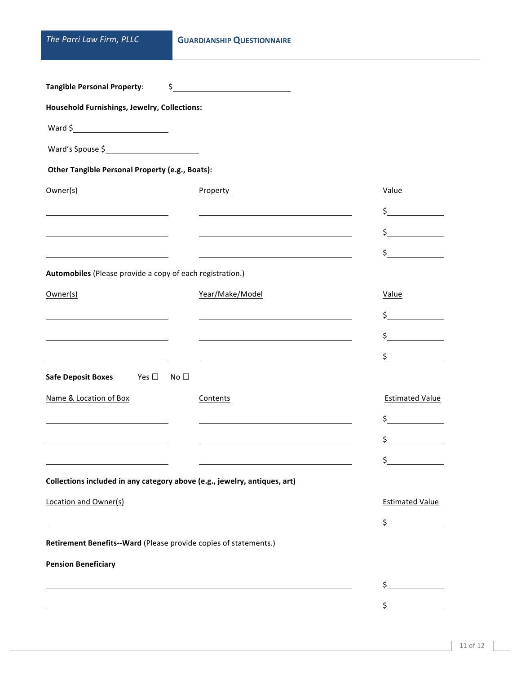|  |  |  | The Parri Law Firm, PLLC |  |  |
|--|--|--|--------------------------|--|--|
|--|--|--|--------------------------|--|--|

| <b>Tangible Personal Property:</b>                               | $\sim$                                                                    |                        |
|------------------------------------------------------------------|---------------------------------------------------------------------------|------------------------|
| Household Furnishings, Jewelry, Collections:                     |                                                                           |                        |
|                                                                  |                                                                           |                        |
| Ward's Spouse \$                                                 |                                                                           |                        |
| Other Tangible Personal Property (e.g., Boats):                  |                                                                           |                        |
| Owner(s)                                                         | Property                                                                  | Value                  |
|                                                                  |                                                                           | $\frac{1}{2}$          |
|                                                                  |                                                                           | $\frac{1}{2}$          |
|                                                                  |                                                                           | $\sharp$               |
| Automobiles (Please provide a copy of each registration.)        |                                                                           |                        |
| Owner(s)                                                         | Year/Make/Model                                                           | Value                  |
|                                                                  |                                                                           | $\frac{1}{2}$          |
|                                                                  |                                                                           | $\frac{1}{2}$          |
|                                                                  |                                                                           | $\sharp$               |
| <b>Safe Deposit Boxes</b><br>Yes $\square$ No $\square$          |                                                                           |                        |
| Name & Location of Box                                           | Contents                                                                  | <b>Estimated Value</b> |
|                                                                  |                                                                           | $\frac{1}{2}$          |
|                                                                  |                                                                           | \$                     |
|                                                                  |                                                                           | \$.                    |
|                                                                  | Collections included in any category above (e.g., jewelry, antiques, art) |                        |
| Location and Owner(s)                                            |                                                                           | <b>Estimated Value</b> |
|                                                                  |                                                                           | \$                     |
| Retirement Benefits--Ward (Please provide copies of statements.) |                                                                           |                        |
| <b>Pension Beneficiary</b>                                       |                                                                           |                        |
|                                                                  |                                                                           | \$.                    |
|                                                                  |                                                                           | \$                     |